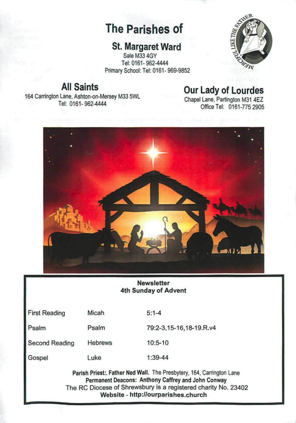# **The Parishes of**

# **St. Margaret Ward**

Sale M33 4GY Tel: 0161-962-4444 Primary School: Tel: 0161- 969-9852



# **All Saints**  164 Carrington Lane, Ashton-on-Mersey M33 5WL Tel: 0161-962-4444

# **Our Lady of Lourdes**

Chapel Lane, Partington M31 4EZ Office Tel: 0161-775 2905



#### **Newsletter 4th Sunday of Advent**

| <b>First Reading</b>  | Micah          | $5:1 - 4$               |
|-----------------------|----------------|-------------------------|
| Psalm                 | Psalm          | 79:2-3,15-16,18-19.R.v4 |
| <b>Second Reading</b> | <b>Hebrews</b> | $10:5 - 10$             |
|                       |                |                         |

Gospel Luke 1:39-44

> Parish Priest:. Father Ned Wall. The Presbytery, 164, Carrington Lane Permanent Deacons: Anthony Caffrey and John Conway The RC Diocese of Shrewsbury is a registered charity No. 23402 **Website** - <http://ourparishes.church>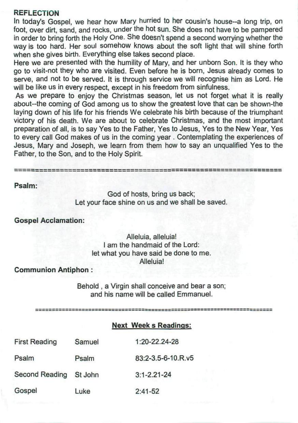#### **REFLECTION**

In today's Gospel, we hear how Mary hurried to her cousin's house--a long trip, on foot, over dirt, sand, and rocks, under the hot sun. She does not have to be pampered in order to bring forth the Holy One. She doesn't spend a second worrying whether the way is too hard. Her soul somehow knows about the soft light that will shine forth when she gives birth. Everything else takes second place.

Here we are presented with the humility of Mary, and her unborn Son. It is they who go to visit-not they who are visited. Even before he is born, Jesus already comes to serve, and not to be served. It is through service we will recognise him as Lord. He will be like us in every respect, except in his freedom from sinfulness.

As we prepare to enjoy the Christmas season, let us not forget what it is really about-the coming of God among us to show the greatest love that can be shown-the laying down of his life for his friends We celebrate his birth because of the triumphant victory of his death. We are about to celebrate Christmas, and the most important preparation of all, is to say Yes to the Father, Yes to Jesus, Yes to the New Year, Yes to every call God makes of us in the coming year. Contemplating the experiences of Jesus, Mary and Joseph, we learn from them how to say an unqualified Yes to the Father, to the Son, and to the Holy Spirit.

#### **Psalm:**

God of hosts, bring us back; Let your face shine on us and we shall be saved.

# **Gospel Acclamation:**

# Alleluia, alleluia! I am the handmaid of the Lord: let what you have said be done to me. Alleluia!

#### **Communion Antiphon** :

Behold , a Virgin shall conceive and bear a son; and his name will be called Emmanuel.

#### **Next Week** s Readings:

| <b>First Reading</b>   | Samuel | $1:20 - 22.24 - 28$ |
|------------------------|--------|---------------------|
| Psalm                  | Psalm  | 83:2-3.5-6-10.R.v5  |
| Second Reading St John |        | $3:1 - 2.21 - 24$   |
| Gospel                 | Luke   | $2:41-52$           |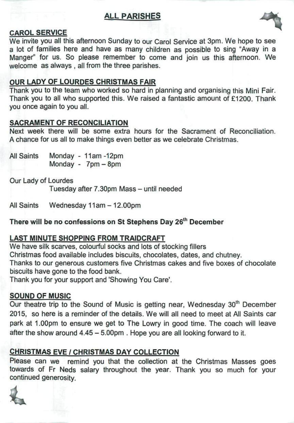# **ALL PARISHES**



# **CAROL SERVICE**

We invite you all this afternoon Sunday to our Carol Service at 3pm. We hope to see a lot of families here and have as many children as possible to sing "Away in a Manger" for us. So please remember to come and join us this afternoon. We welcome as always , all from the three parishes.

# **OUR LADY OF LOURDES CHRISTMAS FAIR**

Thank you to the team who worked so hard in planning and organising this Mini Fair. Thank you to all who supported this. We raised a fantastic amount of £1200. Thank you once again to you all.

#### **SACRAMENT OF RECONCILIATION**

Next week there will be some extra hours for the Sacrament of Reconciliation. A chance for us all to make things even better as we celebrate Christmas.

All Saints Monday - 11am-12pm Monday - 7pm - 8pm

Our Lady of Lourdes

Tuesday after 7.30pm Mass - until needed Tuesday after 7.30pm Mass - until needed after 7.30pm Mass - until needed after 7.30pm Mass - until needed aft<br>De ferste factor factor factor factor factor factor factor factor factor factor factor factor factor factor fa

All Saints Wednesday 11 am - 12.00pm

# **There will be no confessions on St Stephens Day 26th**

#### **LAST MINUTE SHOPPING FROM TRAIDCRAFT**

We have silk scarves, colourful socks and lots of stocking fillers Christmas food available includes biscuits, chocolates, dates, and chutney. Thanks to our generous customers five Christmas cakes and five boxes of chocolate biscuits have gone to the food bank.

Thank you for your support and 'Showing You Care'. Thank you for your support and 'Showing You Care'.

#### **SOUND OF MUSIC**

Our theatre trip to the Sound of Music is getting near, Wednesday 30<sup>th</sup> December 2015, so here is a reminder of the details. We will all need to meet at All Saints car park at 1.00pm to ensure we get to The Lowry in good time. The coach will leave after the show around 4.45 - 5.00pm . Hope you are all looking forward to it.

# **CHRISTMAS EVE / CHRISTMAS DAY COLLECTION**

Please can we remind you that the collection at the Christmas Masses goes towards of Fr Neds salary throughout the year. Thank you so much for your continued generosity.

**4**